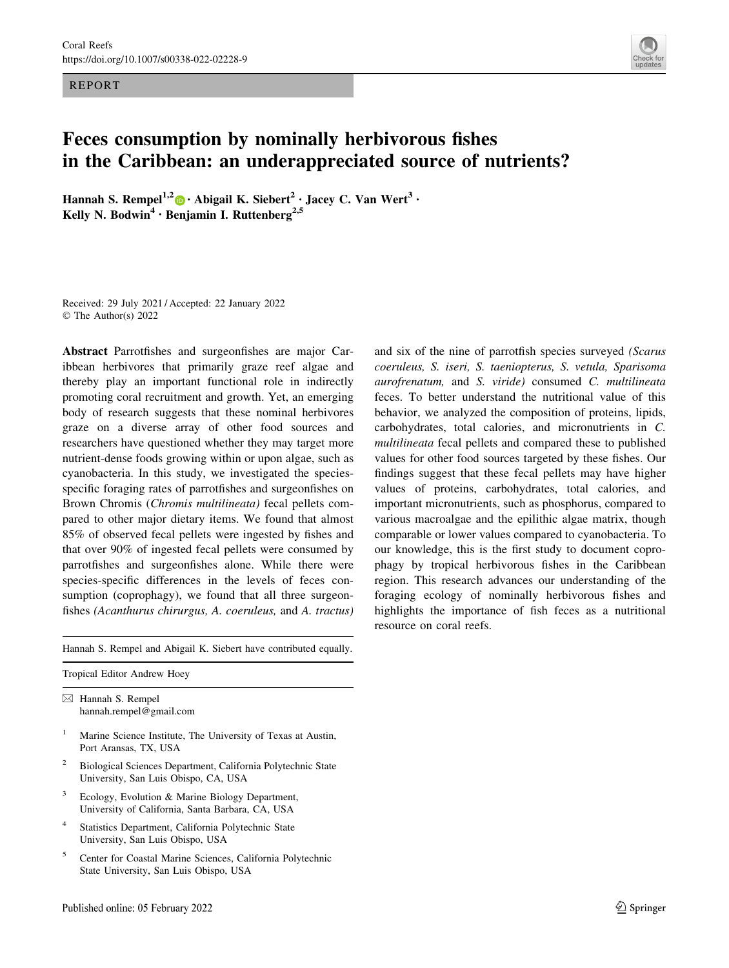REPORT



# Feces consumption by nominally herbivorous fishes in the Caribbean: an underappreciated source of nutrients?

Hannah S. Rempel<sup>1,2</sup> • Abigail K. Siebert<sup>2</sup> • Jacey C. Van Wert<sup>3</sup> • Kelly N. Bodwin<sup>4</sup> · Benjamin I. Ruttenberg<sup>2,5</sup>

Received: 29 July 2021 / Accepted: 22 January 2022 © The Author(s) 2022

Abstract Parrotfishes and surgeonfishes are major Caribbean herbivores that primarily graze reef algae and thereby play an important functional role in indirectly promoting coral recruitment and growth. Yet, an emerging body of research suggests that these nominal herbivores graze on a diverse array of other food sources and researchers have questioned whether they may target more nutrient-dense foods growing within or upon algae, such as cyanobacteria. In this study, we investigated the speciesspecific foraging rates of parrotfishes and surgeonfishes on Brown Chromis (Chromis multilineata) fecal pellets compared to other major dietary items. We found that almost 85% of observed fecal pellets were ingested by fishes and that over 90% of ingested fecal pellets were consumed by parrotfishes and surgeonfishes alone. While there were species-specific differences in the levels of feces consumption (coprophagy), we found that all three surgeonfishes (Acanthurus chirurgus, A. coeruleus, and A. tractus)

Hannah S. Rempel and Abigail K. Siebert have contributed equally.

Tropical Editor Andrew Hoey

 $\boxtimes$  Hannah S. Rempel hannah.rempel@gmail.com

- <sup>1</sup> Marine Science Institute, The University of Texas at Austin, Port Aransas, TX, USA
- <sup>2</sup> Biological Sciences Department, California Polytechnic State University, San Luis Obispo, CA, USA
- Ecology, Evolution & Marine Biology Department, University of California, Santa Barbara, CA, USA
- <sup>4</sup> Statistics Department, California Polytechnic State University, San Luis Obispo, USA
- <sup>5</sup> Center for Coastal Marine Sciences, California Polytechnic State University, San Luis Obispo, USA

and six of the nine of parrotfish species surveyed (Scarus coeruleus, S. iseri, S. taeniopterus, S. vetula, Sparisoma aurofrenatum, and S. viride) consumed C. multilineata feces. To better understand the nutritional value of this behavior, we analyzed the composition of proteins, lipids, carbohydrates, total calories, and micronutrients in C. multilineata fecal pellets and compared these to published values for other food sources targeted by these fishes. Our findings suggest that these fecal pellets may have higher values of proteins, carbohydrates, total calories, and important micronutrients, such as phosphorus, compared to various macroalgae and the epilithic algae matrix, though comparable or lower values compared to cyanobacteria. To our knowledge, this is the first study to document coprophagy by tropical herbivorous fishes in the Caribbean region. This research advances our understanding of the foraging ecology of nominally herbivorous fishes and highlights the importance of fish feces as a nutritional resource on coral reefs.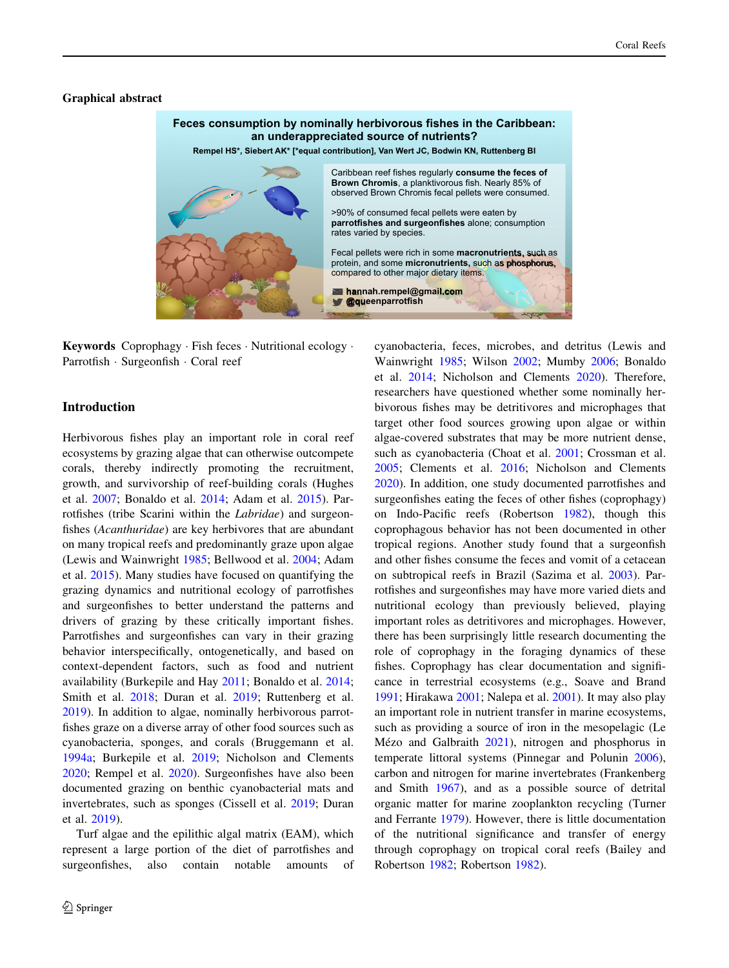## Graphical abstract



Keywords Coprophagy - Fish feces - Nutritional ecology - Parrotfish · Surgeonfish · Coral reef

# Introduction

Herbivorous fishes play an important role in coral reef ecosystems by grazing algae that can otherwise outcompete corals, thereby indirectly promoting the recruitment, growth, and survivorship of reef-building corals (Hughes et al. [2007](#page-11-0); Bonaldo et al. [2014;](#page-11-0) Adam et al. [2015\)](#page-10-0). Parrotfishes (tribe Scarini within the Labridae) and surgeonfishes (Acanthuridae) are key herbivores that are abundant on many tropical reefs and predominantly graze upon algae (Lewis and Wainwright [1985](#page-11-0); Bellwood et al. [2004](#page-11-0); Adam et al. [2015\)](#page-10-0). Many studies have focused on quantifying the grazing dynamics and nutritional ecology of parrotfishes and surgeonfishes to better understand the patterns and drivers of grazing by these critically important fishes. Parrotfishes and surgeonfishes can vary in their grazing behavior interspecifically, ontogenetically, and based on context-dependent factors, such as food and nutrient availability (Burkepile and Hay [2011](#page-11-0); Bonaldo et al. [2014](#page-11-0); Smith et al. [2018](#page-12-0); Duran et al. [2019](#page-11-0); Ruttenberg et al. [2019\)](#page-12-0). In addition to algae, nominally herbivorous parrotfishes graze on a diverse array of other food sources such as cyanobacteria, sponges, and corals (Bruggemann et al. [1994a](#page-11-0); Burkepile et al. [2019;](#page-11-0) Nicholson and Clements [2020;](#page-12-0) Rempel et al. [2020\)](#page-12-0). Surgeonfishes have also been documented grazing on benthic cyanobacterial mats and invertebrates, such as sponges (Cissell et al. [2019;](#page-11-0) Duran et al. [2019\)](#page-11-0).

Turf algae and the epilithic algal matrix (EAM), which represent a large portion of the diet of parrotfishes and surgeonfishes, also contain notable amounts of cyanobacteria, feces, microbes, and detritus (Lewis and Wainwright [1985;](#page-11-0) Wilson [2002](#page-12-0); Mumby [2006;](#page-12-0) Bonaldo et al. [2014;](#page-11-0) Nicholson and Clements [2020](#page-12-0)). Therefore, researchers have questioned whether some nominally herbivorous fishes may be detritivores and microphages that target other food sources growing upon algae or within algae-covered substrates that may be more nutrient dense, such as cyanobacteria (Choat et al. [2001;](#page-11-0) Crossman et al. [2005](#page-11-0); Clements et al. [2016](#page-11-0); Nicholson and Clements [2020](#page-12-0)). In addition, one study documented parrotfishes and surgeonfishes eating the feces of other fishes (coprophagy) on Indo-Pacific reefs (Robertson [1982](#page-12-0)), though this coprophagous behavior has not been documented in other tropical regions. Another study found that a surgeonfish and other fishes consume the feces and vomit of a cetacean on subtropical reefs in Brazil (Sazima et al. [2003](#page-12-0)). Parrotfishes and surgeonfishes may have more varied diets and nutritional ecology than previously believed, playing important roles as detritivores and microphages. However, there has been surprisingly little research documenting the role of coprophagy in the foraging dynamics of these fishes. Coprophagy has clear documentation and significance in terrestrial ecosystems (e.g., Soave and Brand [1991](#page-12-0); Hirakawa [2001;](#page-11-0) Nalepa et al. [2001](#page-12-0)). It may also play an important role in nutrient transfer in marine ecosystems, such as providing a source of iron in the mesopelagic (Le Mézo and Galbraith [2021](#page-11-0)), nitrogen and phosphorus in temperate littoral systems (Pinnegar and Polunin [2006](#page-12-0)), carbon and nitrogen for marine invertebrates (Frankenberg and Smith [1967\)](#page-11-0), and as a possible source of detrital organic matter for marine zooplankton recycling (Turner and Ferrante [1979\)](#page-12-0). However, there is little documentation of the nutritional significance and transfer of energy through coprophagy on tropical coral reefs (Bailey and Robertson [1982](#page-11-0); Robertson [1982\)](#page-12-0).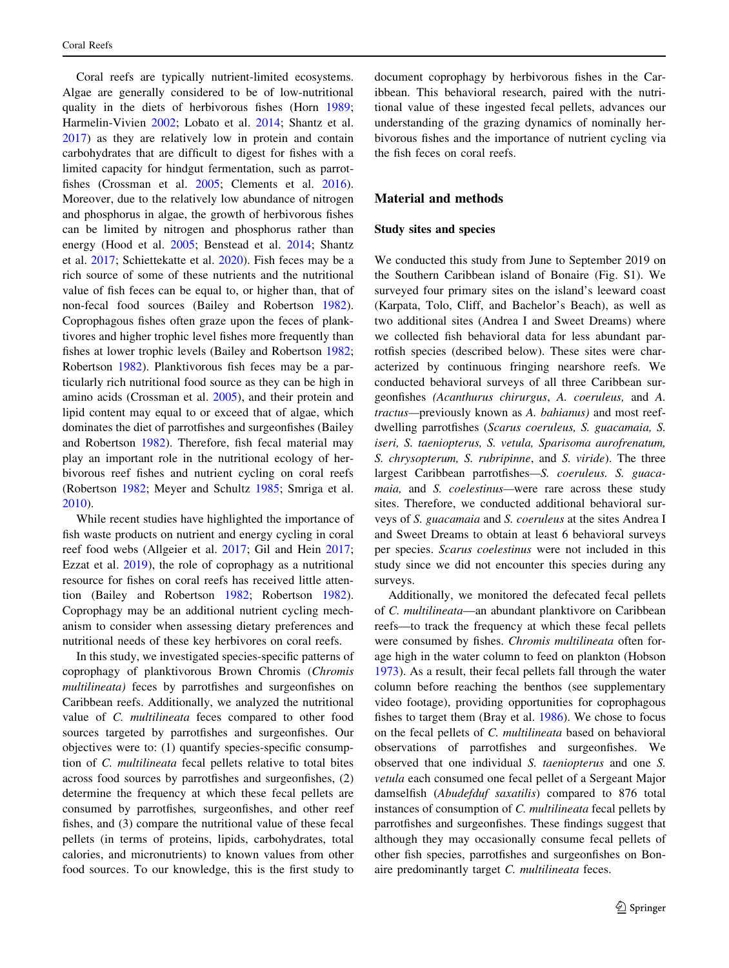Coral reefs are typically nutrient-limited ecosystems. Algae are generally considered to be of low-nutritional quality in the diets of herbivorous fishes (Horn [1989](#page-11-0); Harmelin-Vivien [2002;](#page-11-0) Lobato et al. [2014](#page-11-0); Shantz et al. [2017\)](#page-12-0) as they are relatively low in protein and contain carbohydrates that are difficult to digest for fishes with a limited capacity for hindgut fermentation, such as parrotfishes (Crossman et al. [2005;](#page-11-0) Clements et al. [2016](#page-11-0)). Moreover, due to the relatively low abundance of nitrogen and phosphorus in algae, the growth of herbivorous fishes can be limited by nitrogen and phosphorus rather than energy (Hood et al. [2005](#page-11-0); Benstead et al. [2014](#page-11-0); Shantz et al. [2017](#page-12-0); Schiettekatte et al. [2020\)](#page-12-0). Fish feces may be a rich source of some of these nutrients and the nutritional value of fish feces can be equal to, or higher than, that of non-fecal food sources (Bailey and Robertson [1982](#page-11-0)). Coprophagous fishes often graze upon the feces of planktivores and higher trophic level fishes more frequently than fishes at lower trophic levels (Bailey and Robertson [1982](#page-11-0); Robertson [1982](#page-12-0)). Planktivorous fish feces may be a particularly rich nutritional food source as they can be high in amino acids (Crossman et al. [2005](#page-11-0)), and their protein and lipid content may equal to or exceed that of algae, which dominates the diet of parrotfishes and surgeonfishes (Bailey and Robertson [1982](#page-11-0)). Therefore, fish fecal material may play an important role in the nutritional ecology of herbivorous reef fishes and nutrient cycling on coral reefs (Robertson [1982](#page-12-0); Meyer and Schultz [1985;](#page-12-0) Smriga et al. [2010\)](#page-12-0).

While recent studies have highlighted the importance of fish waste products on nutrient and energy cycling in coral reef food webs (Allgeier et al. [2017;](#page-10-0) Gil and Hein [2017](#page-11-0); Ezzat et al. [2019\)](#page-11-0), the role of coprophagy as a nutritional resource for fishes on coral reefs has received little attention (Bailey and Robertson [1982;](#page-11-0) Robertson [1982](#page-12-0)). Coprophagy may be an additional nutrient cycling mechanism to consider when assessing dietary preferences and nutritional needs of these key herbivores on coral reefs.

In this study, we investigated species-specific patterns of coprophagy of planktivorous Brown Chromis (Chromis multilineata) feces by parrotfishes and surgeonfishes on Caribbean reefs. Additionally, we analyzed the nutritional value of C. multilineata feces compared to other food sources targeted by parrotfishes and surgeonfishes. Our objectives were to: (1) quantify species-specific consumption of C. multilineata fecal pellets relative to total bites across food sources by parrotfishes and surgeonfishes, (2) determine the frequency at which these fecal pellets are consumed by parrotfishes, surgeonfishes, and other reef fishes, and (3) compare the nutritional value of these fecal pellets (in terms of proteins, lipids, carbohydrates, total calories, and micronutrients) to known values from other food sources. To our knowledge, this is the first study to document coprophagy by herbivorous fishes in the Caribbean. This behavioral research, paired with the nutritional value of these ingested fecal pellets, advances our understanding of the grazing dynamics of nominally herbivorous fishes and the importance of nutrient cycling via the fish feces on coral reefs.

# Material and methods

# Study sites and species

We conducted this study from June to September 2019 on the Southern Caribbean island of Bonaire (Fig. S1). We surveyed four primary sites on the island's leeward coast (Karpata, Tolo, Cliff, and Bachelor's Beach), as well as two additional sites (Andrea I and Sweet Dreams) where we collected fish behavioral data for less abundant parrotfish species (described below). These sites were characterized by continuous fringing nearshore reefs. We conducted behavioral surveys of all three Caribbean surgeonfishes (Acanthurus chirurgus, A. coeruleus, and A. tractus—previously known as A. bahianus) and most reefdwelling parrotfishes (Scarus coeruleus, S. guacamaia, S. iseri, S. taeniopterus, S. vetula, Sparisoma aurofrenatum, S. chrysopterum, S. rubripinne, and S. viride). The three largest Caribbean parrotfishes—S. coeruleus. S. guacamaia, and S. coelestinus—were rare across these study sites. Therefore, we conducted additional behavioral surveys of S. guacamaia and S. coeruleus at the sites Andrea I and Sweet Dreams to obtain at least 6 behavioral surveys per species. Scarus coelestinus were not included in this study since we did not encounter this species during any surveys.

Additionally, we monitored the defecated fecal pellets of C. multilineata—an abundant planktivore on Caribbean reefs—to track the frequency at which these fecal pellets were consumed by fishes. Chromis multilineata often forage high in the water column to feed on plankton (Hobson [1973](#page-11-0)). As a result, their fecal pellets fall through the water column before reaching the benthos (see supplementary video footage), providing opportunities for coprophagous fishes to target them (Bray et al. [1986](#page-11-0)). We chose to focus on the fecal pellets of C. multilineata based on behavioral observations of parrotfishes and surgeonfishes. We observed that one individual S. taeniopterus and one S. vetula each consumed one fecal pellet of a Sergeant Major damselfish (Abudefduf saxatilis) compared to 876 total instances of consumption of C. multilineata fecal pellets by parrotfishes and surgeonfishes. These findings suggest that although they may occasionally consume fecal pellets of other fish species, parrotfishes and surgeonfishes on Bonaire predominantly target C. multilineata feces.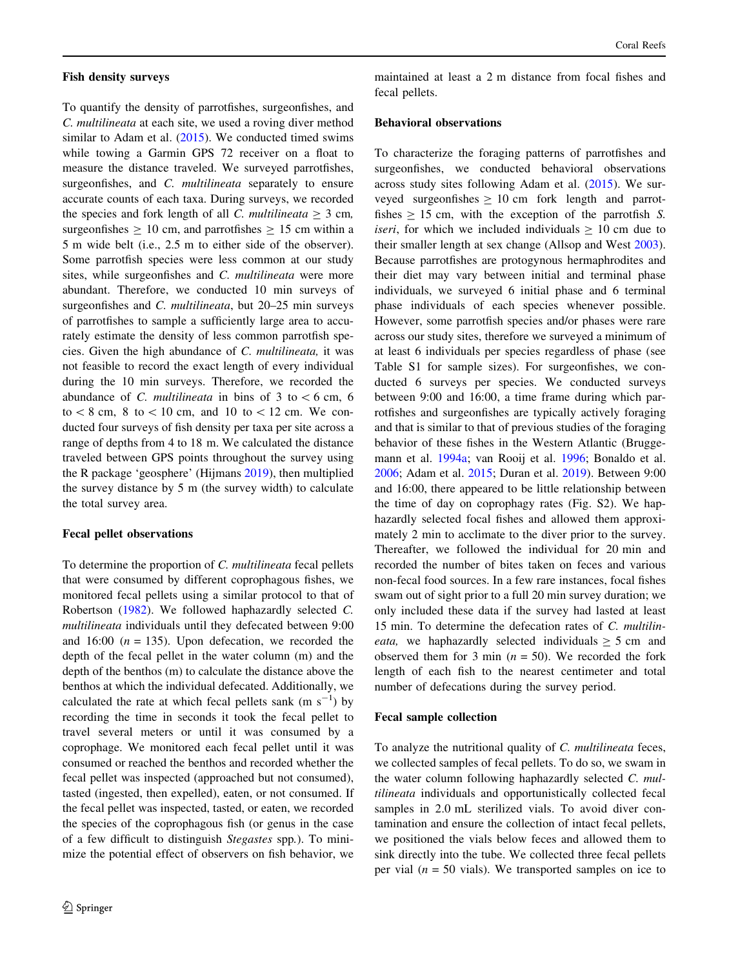### Fish density surveys

To quantify the density of parrotfishes, surgeonfishes, and C. multilineata at each site, we used a roving diver method similar to Adam et al. [\(2015](#page-10-0)). We conducted timed swims while towing a Garmin GPS 72 receiver on a float to measure the distance traveled. We surveyed parrotfishes, surgeonfishes, and C. multilineata separately to ensure accurate counts of each taxa. During surveys, we recorded the species and fork length of all C. multilineata  $\geq 3$  cm, surgeonfishes  $\geq 10$  cm, and parrotfishes  $\geq 15$  cm within a 5 m wide belt (i.e., 2.5 m to either side of the observer). Some parrotfish species were less common at our study sites, while surgeonfishes and C. multilineata were more abundant. Therefore, we conducted 10 min surveys of surgeonfishes and *C. multilineata*, but 20–25 min surveys of parrotfishes to sample a sufficiently large area to accurately estimate the density of less common parrotfish species. Given the high abundance of C. multilineata, it was not feasible to record the exact length of every individual during the 10 min surveys. Therefore, we recorded the abundance of C. multilineata in bins of 3 to  $\lt 6$  cm, 6 to  $\< 8$  cm,  $8$  to  $\< 10$  cm, and 10 to  $\< 12$  cm. We conducted four surveys of fish density per taxa per site across a range of depths from 4 to 18 m. We calculated the distance traveled between GPS points throughout the survey using the R package 'geosphere' (Hijmans [2019\)](#page-11-0), then multiplied the survey distance by 5 m (the survey width) to calculate the total survey area.

## Fecal pellet observations

To determine the proportion of C. multilineata fecal pellets that were consumed by different coprophagous fishes, we monitored fecal pellets using a similar protocol to that of Robertson [\(1982](#page-12-0)). We followed haphazardly selected C. multilineata individuals until they defecated between 9:00 and 16:00  $(n = 135)$ . Upon defecation, we recorded the depth of the fecal pellet in the water column (m) and the depth of the benthos (m) to calculate the distance above the benthos at which the individual defecated. Additionally, we calculated the rate at which fecal pellets sank  $(m s<sup>-1</sup>)$  by recording the time in seconds it took the fecal pellet to travel several meters or until it was consumed by a coprophage. We monitored each fecal pellet until it was consumed or reached the benthos and recorded whether the fecal pellet was inspected (approached but not consumed), tasted (ingested, then expelled), eaten, or not consumed. If the fecal pellet was inspected, tasted, or eaten, we recorded the species of the coprophagous fish (or genus in the case of a few difficult to distinguish Stegastes spp.). To minimize the potential effect of observers on fish behavior, we

maintained at least a 2 m distance from focal fishes and fecal pellets.

### Behavioral observations

To characterize the foraging patterns of parrotfishes and surgeonfishes, we conducted behavioral observations across study sites following Adam et al. [\(2015](#page-10-0)). We surveyed surgeonfishes  $\geq 10$  cm fork length and parrotfishes  $\geq 15$  cm, with the exception of the parrotfish S. *iseri*, for which we included individuals  $> 10$  cm due to their smaller length at sex change (Allsop and West [2003](#page-10-0)). Because parrotfishes are protogynous hermaphrodites and their diet may vary between initial and terminal phase individuals, we surveyed 6 initial phase and 6 terminal phase individuals of each species whenever possible. However, some parrotfish species and/or phases were rare across our study sites, therefore we surveyed a minimum of at least 6 individuals per species regardless of phase (see Table S1 for sample sizes). For surgeonfishes, we conducted 6 surveys per species. We conducted surveys between 9:00 and 16:00, a time frame during which parrotfishes and surgeonfishes are typically actively foraging and that is similar to that of previous studies of the foraging behavior of these fishes in the Western Atlantic (Bruggemann et al. [1994a;](#page-11-0) van Rooij et al. [1996](#page-12-0); Bonaldo et al. [2006](#page-11-0); Adam et al. [2015;](#page-10-0) Duran et al. [2019\)](#page-11-0). Between 9:00 and 16:00, there appeared to be little relationship between the time of day on coprophagy rates (Fig. S2). We haphazardly selected focal fishes and allowed them approximately 2 min to acclimate to the diver prior to the survey. Thereafter, we followed the individual for 20 min and recorded the number of bites taken on feces and various non-fecal food sources. In a few rare instances, focal fishes swam out of sight prior to a full 20 min survey duration; we only included these data if the survey had lasted at least 15 min. To determine the defecation rates of C. multilin*eata*, we haphazardly selected individuals  $\geq$  5 cm and observed them for 3 min  $(n = 50)$ . We recorded the fork length of each fish to the nearest centimeter and total number of defecations during the survey period.

# Fecal sample collection

To analyze the nutritional quality of C. multilineata feces, we collected samples of fecal pellets. To do so, we swam in the water column following haphazardly selected C. multilineata individuals and opportunistically collected fecal samples in 2.0 mL sterilized vials. To avoid diver contamination and ensure the collection of intact fecal pellets, we positioned the vials below feces and allowed them to sink directly into the tube. We collected three fecal pellets per vial ( $n = 50$  vials). We transported samples on ice to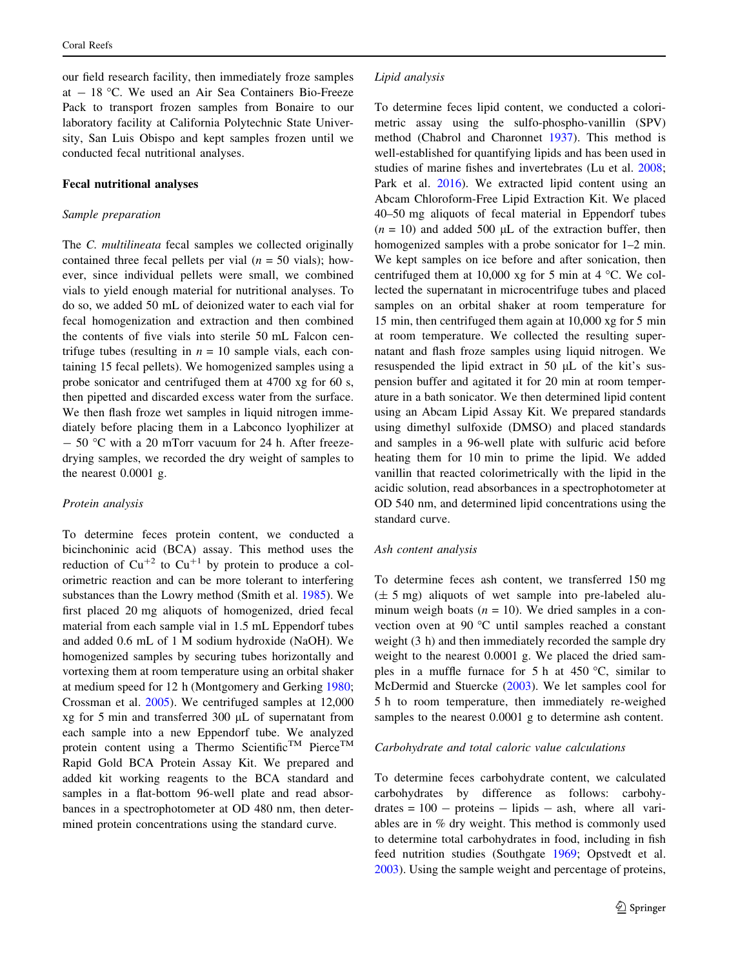our field research facility, then immediately froze samples at  $-18$  °C. We used an Air Sea Containers Bio-Freeze Pack to transport frozen samples from Bonaire to our laboratory facility at California Polytechnic State University, San Luis Obispo and kept samples frozen until we conducted fecal nutritional analyses.

#### Fecal nutritional analyses

#### Sample preparation

The *C. multilineata* fecal samples we collected originally contained three fecal pellets per vial ( $n = 50$  vials); however, since individual pellets were small, we combined vials to yield enough material for nutritional analyses. To do so, we added 50 mL of deionized water to each vial for fecal homogenization and extraction and then combined the contents of five vials into sterile 50 mL Falcon centrifuge tubes (resulting in  $n = 10$  sample vials, each containing 15 fecal pellets). We homogenized samples using a probe sonicator and centrifuged them at 4700 xg for 60 s, then pipetted and discarded excess water from the surface. We then flash froze wet samples in liquid nitrogen immediately before placing them in a Labconco lyophilizer at  $-$  50 °C with a 20 mTorr vacuum for 24 h. After freezedrying samples, we recorded the dry weight of samples to the nearest 0.0001 g.

### Protein analysis

To determine feces protein content, we conducted a bicinchoninic acid (BCA) assay. This method uses the reduction of  $Cu^{+2}$  to  $Cu^{+1}$  by protein to produce a colorimetric reaction and can be more tolerant to interfering substances than the Lowry method (Smith et al. [1985\)](#page-12-0). We first placed 20 mg aliquots of homogenized, dried fecal material from each sample vial in 1.5 mL Eppendorf tubes and added 0.6 mL of 1 M sodium hydroxide (NaOH). We homogenized samples by securing tubes horizontally and vortexing them at room temperature using an orbital shaker at medium speed for 12 h (Montgomery and Gerking [1980](#page-12-0); Crossman et al. [2005\)](#page-11-0). We centrifuged samples at 12,000  $xg$  for 5 min and transferred 300  $\mu$ L of supernatant from each sample into a new Eppendorf tube. We analyzed protein content using a Thermo Scientific<sup>TM</sup> Pierce<sup>TM</sup> Rapid Gold BCA Protein Assay Kit. We prepared and added kit working reagents to the BCA standard and samples in a flat-bottom 96-well plate and read absorbances in a spectrophotometer at OD 480 nm, then determined protein concentrations using the standard curve.

## Lipid analysis

To determine feces lipid content, we conducted a colorimetric assay using the sulfo-phospho-vanillin (SPV) method (Chabrol and Charonnet [1937](#page-11-0)). This method is well-established for quantifying lipids and has been used in studies of marine fishes and invertebrates (Lu et al. [2008](#page-11-0); Park et al. [2016](#page-12-0)). We extracted lipid content using an Abcam Chloroform-Free Lipid Extraction Kit. We placed 40–50 mg aliquots of fecal material in Eppendorf tubes  $(n = 10)$  and added 500 µL of the extraction buffer, then homogenized samples with a probe sonicator for 1–2 min. We kept samples on ice before and after sonication, then centrifuged them at 10,000 xg for 5 min at 4  $^{\circ}$ C. We collected the supernatant in microcentrifuge tubes and placed samples on an orbital shaker at room temperature for 15 min, then centrifuged them again at 10,000 xg for 5 min at room temperature. We collected the resulting supernatant and flash froze samples using liquid nitrogen. We resuspended the lipid extract in 50  $\mu$ L of the kit's suspension buffer and agitated it for 20 min at room temperature in a bath sonicator. We then determined lipid content using an Abcam Lipid Assay Kit. We prepared standards using dimethyl sulfoxide (DMSO) and placed standards and samples in a 96-well plate with sulfuric acid before heating them for 10 min to prime the lipid. We added vanillin that reacted colorimetrically with the lipid in the acidic solution, read absorbances in a spectrophotometer at OD 540 nm, and determined lipid concentrations using the standard curve.

## Ash content analysis

To determine feces ash content, we transferred 150 mg  $(\pm 5 \text{ mg})$  aliquots of wet sample into pre-labeled aluminum weigh boats ( $n = 10$ ). We dried samples in a convection oven at 90 °C until samples reached a constant weight (3 h) and then immediately recorded the sample dry weight to the nearest 0.0001 g. We placed the dried samples in a muffle furnace for 5 h at 450  $\degree$ C, similar to McDermid and Stuercke [\(2003](#page-11-0)). We let samples cool for 5 h to room temperature, then immediately re-weighed samples to the nearest 0.0001 g to determine ash content.

#### Carbohydrate and total caloric value calculations

To determine feces carbohydrate content, we calculated carbohydrates by difference as follows: carbohy $drates = 100 - proteins - lipids - ash$ , where all variables are in % dry weight. This method is commonly used to determine total carbohydrates in food, including in fish feed nutrition studies (Southgate [1969](#page-12-0); Opstvedt et al. [2003](#page-12-0)). Using the sample weight and percentage of proteins,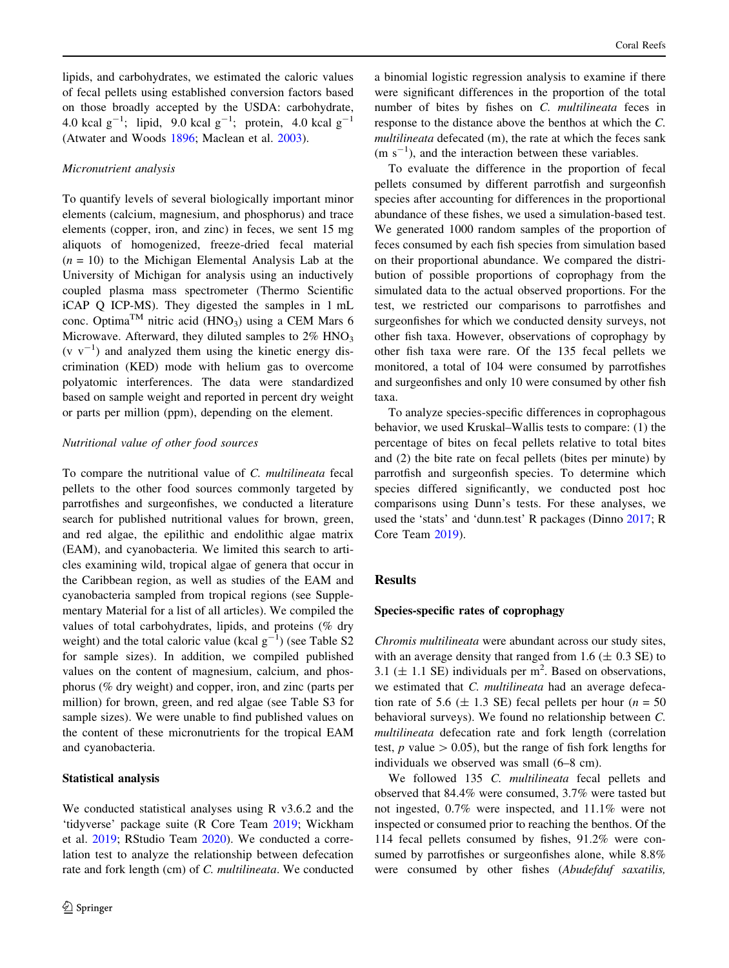lipids, and carbohydrates, we estimated the caloric values of fecal pellets using established conversion factors based on those broadly accepted by the USDA: carbohydrate, 4.0 kcal  $g^{-1}$ ; lipid, 9.0 kcal  $g^{-1}$ ; protein, 4.0 kcal  $g^{-1}$ (Atwater and Woods [1896](#page-11-0); Maclean et al. [2003\)](#page-11-0).

## Micronutrient analysis

To quantify levels of several biologically important minor elements (calcium, magnesium, and phosphorus) and trace elements (copper, iron, and zinc) in feces, we sent 15 mg aliquots of homogenized, freeze-dried fecal material  $(n = 10)$  to the Michigan Elemental Analysis Lab at the University of Michigan for analysis using an inductively coupled plasma mass spectrometer (Thermo Scientific iCAP Q ICP-MS). They digested the samples in 1 mL conc. Optima<sup>TM</sup> nitric acid (HNO<sub>3</sub>) using a CEM Mars 6 Microwave. Afterward, they diluted samples to  $2\%$  HNO<sub>3</sub>  $(v v<sup>-1</sup>)$  and analyzed them using the kinetic energy discrimination (KED) mode with helium gas to overcome polyatomic interferences. The data were standardized based on sample weight and reported in percent dry weight or parts per million (ppm), depending on the element.

## Nutritional value of other food sources

To compare the nutritional value of C. multilineata fecal pellets to the other food sources commonly targeted by parrotfishes and surgeonfishes, we conducted a literature search for published nutritional values for brown, green, and red algae, the epilithic and endolithic algae matrix (EAM), and cyanobacteria. We limited this search to articles examining wild, tropical algae of genera that occur in the Caribbean region, as well as studies of the EAM and cyanobacteria sampled from tropical regions (see Supplementary Material for a list of all articles). We compiled the values of total carbohydrates, lipids, and proteins (% dry weight) and the total caloric value (kcal  $g^{-1}$ ) (see Table S2 for sample sizes). In addition, we compiled published values on the content of magnesium, calcium, and phosphorus (% dry weight) and copper, iron, and zinc (parts per million) for brown, green, and red algae (see Table S3 for sample sizes). We were unable to find published values on the content of these micronutrients for the tropical EAM and cyanobacteria.

#### Statistical analysis

We conducted statistical analyses using R v3.6.2 and the 'tidyverse' package suite (R Core Team [2019](#page-12-0); Wickham et al. [2019](#page-12-0); RStudio Team [2020\)](#page-12-0). We conducted a correlation test to analyze the relationship between defecation rate and fork length (cm) of C. multilineata. We conducted

a binomial logistic regression analysis to examine if there were significant differences in the proportion of the total number of bites by fishes on C. multilineata feces in response to the distance above the benthos at which the C. multilineata defecated (m), the rate at which the feces sank  $(m s<sup>-1</sup>)$ , and the interaction between these variables.

To evaluate the difference in the proportion of fecal pellets consumed by different parrotfish and surgeonfish species after accounting for differences in the proportional abundance of these fishes, we used a simulation-based test. We generated 1000 random samples of the proportion of feces consumed by each fish species from simulation based on their proportional abundance. We compared the distribution of possible proportions of coprophagy from the simulated data to the actual observed proportions. For the test, we restricted our comparisons to parrotfishes and surgeonfishes for which we conducted density surveys, not other fish taxa. However, observations of coprophagy by other fish taxa were rare. Of the 135 fecal pellets we monitored, a total of 104 were consumed by parrotfishes and surgeonfishes and only 10 were consumed by other fish taxa.

To analyze species-specific differences in coprophagous behavior, we used Kruskal–Wallis tests to compare: (1) the percentage of bites on fecal pellets relative to total bites and (2) the bite rate on fecal pellets (bites per minute) by parrotfish and surgeonfish species. To determine which species differed significantly, we conducted post hoc comparisons using Dunn's tests. For these analyses, we used the 'stats' and 'dunn.test' R packages (Dinno [2017](#page-11-0); R Core Team [2019](#page-12-0)).

## Results

#### Species-specific rates of coprophagy

Chromis multilineata were abundant across our study sites, with an average density that ranged from  $1.6 \ (\pm 0.3 \ \text{SE})$  to 3.1 ( $\pm$  1.1 SE) individuals per m<sup>2</sup>. Based on observations, we estimated that C. multilineata had an average defecation rate of 5.6 ( $\pm$  1.3 SE) fecal pellets per hour ( $n = 50$ behavioral surveys). We found no relationship between C. multilineata defecation rate and fork length (correlation test, p value  $> 0.05$ ), but the range of fish fork lengths for individuals we observed was small (6–8 cm).

We followed 135 C. multilineata fecal pellets and observed that 84.4% were consumed, 3.7% were tasted but not ingested, 0.7% were inspected, and 11.1% were not inspected or consumed prior to reaching the benthos. Of the 114 fecal pellets consumed by fishes, 91.2% were consumed by parrotfishes or surgeonfishes alone, while 8.8% were consumed by other fishes (Abudefduf saxatilis,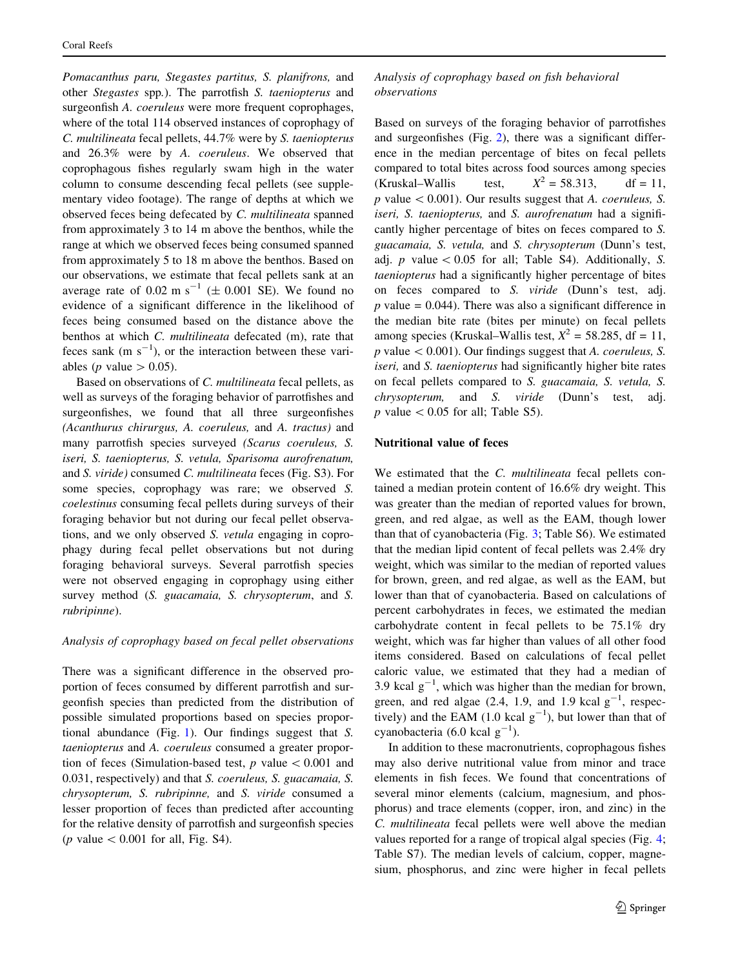Pomacanthus paru, Stegastes partitus, S. planifrons, and other Stegastes spp.). The parrotfish S. taeniopterus and surgeonfish A. coeruleus were more frequent coprophages, where of the total 114 observed instances of coprophagy of C. multilineata fecal pellets, 44.7% were by S. taeniopterus and 26.3% were by A. coeruleus. We observed that coprophagous fishes regularly swam high in the water column to consume descending fecal pellets (see supplementary video footage). The range of depths at which we observed feces being defecated by C. multilineata spanned from approximately 3 to 14 m above the benthos, while the range at which we observed feces being consumed spanned from approximately 5 to 18 m above the benthos. Based on our observations, we estimate that fecal pellets sank at an average rate of 0.02 m s<sup>-1</sup> ( $\pm$  0.001 SE). We found no evidence of a significant difference in the likelihood of feces being consumed based on the distance above the benthos at which C. multilineata defecated (m), rate that feces sank  $(m s<sup>-1</sup>)$ , or the interaction between these variables (*p* value  $> 0.05$ ).

Based on observations of C. multilineata fecal pellets, as well as surveys of the foraging behavior of parrotfishes and surgeonfishes, we found that all three surgeonfishes (Acanthurus chirurgus, A. coeruleus, and A. tractus) and many parrotfish species surveyed (Scarus coeruleus, S. iseri, S. taeniopterus, S. vetula, Sparisoma aurofrenatum, and S. viride) consumed C. multilineata feces (Fig. S3). For some species, coprophagy was rare; we observed S. coelestinus consuming fecal pellets during surveys of their foraging behavior but not during our fecal pellet observations, and we only observed S. vetula engaging in coprophagy during fecal pellet observations but not during foraging behavioral surveys. Several parrotfish species were not observed engaging in coprophagy using either survey method (S. guacamaia, S. chrysopterum, and S. rubripinne).

## Analysis of coprophagy based on fecal pellet observations

There was a significant difference in the observed proportion of feces consumed by different parrotfish and surgeonfish species than predicted from the distribution of possible simulated proportions based on species proportional abundance (Fig. [1](#page-7-0)). Our findings suggest that S. taeniopterus and A. coeruleus consumed a greater proportion of feces (Simulation-based test,  $p$  value  $\lt$  0.001 and 0.031, respectively) and that S. coeruleus, S. guacamaia, S. chrysopterum, S. rubripinne, and S. viride consumed a lesser proportion of feces than predicted after accounting for the relative density of parrotfish and surgeonfish species (*p* value  $< 0.001$  for all, Fig. S4).

Analysis of coprophagy based on fish behavioral observations

Based on surveys of the foraging behavior of parrotfishes and surgeonfishes (Fig. [2\)](#page-7-0), there was a significant difference in the median percentage of bites on fecal pellets compared to total bites across food sources among species (Kruskal–Wallis test,  $X^2 = 58.313$ , df = 11,  $p$  value  $\lt$  0.001). Our results suggest that A. coeruleus, S. iseri, S. taeniopterus, and S. aurofrenatum had a significantly higher percentage of bites on feces compared to S. guacamaia, S. vetula, and S. chrysopterum (Dunn's test, adj. p value  $\lt 0.05$  for all; Table S4). Additionally, S. taeniopterus had a significantly higher percentage of bites on feces compared to S. viride (Dunn's test, adj.  $p$  value = 0.044). There was also a significant difference in the median bite rate (bites per minute) on fecal pellets among species (Kruskal–Wallis test,  $X^2 = 58.285$ , df = 11,  $p$  value  $\lt$  0.001). Our findings suggest that A. *coeruleus*, S. iseri, and S. taeniopterus had significantly higher bite rates on fecal pellets compared to S. guacamaia, S. vetula, S. chrysopterum, and S. viride (Dunn's test, adj. p value  $\lt$  0.05 for all; Table S5).

## Nutritional value of feces

We estimated that the C. multilineata fecal pellets contained a median protein content of 16.6% dry weight. This was greater than the median of reported values for brown, green, and red algae, as well as the EAM, though lower than that of cyanobacteria (Fig. [3;](#page-7-0) Table S6). We estimated that the median lipid content of fecal pellets was 2.4% dry weight, which was similar to the median of reported values for brown, green, and red algae, as well as the EAM, but lower than that of cyanobacteria. Based on calculations of percent carbohydrates in feces, we estimated the median carbohydrate content in fecal pellets to be 75.1% dry weight, which was far higher than values of all other food items considered. Based on calculations of fecal pellet caloric value, we estimated that they had a median of 3.9 kcal  $g^{-1}$ , which was higher than the median for brown, green, and red algae  $(2.4, 1.9, \text{ and } 1.9 \text{ kcal g}^{-1}, \text{ respec-}$ tively) and the EAM  $(1.0 \text{ kcal g}^{-1})$ , but lower than that of cyanobacteria (6.0 kcal  $g^{-1}$ ).

In addition to these macronutrients, coprophagous fishes may also derive nutritional value from minor and trace elements in fish feces. We found that concentrations of several minor elements (calcium, magnesium, and phosphorus) and trace elements (copper, iron, and zinc) in the C. multilineata fecal pellets were well above the median values reported for a range of tropical algal species (Fig. [4](#page-8-0); Table S7). The median levels of calcium, copper, magnesium, phosphorus, and zinc were higher in fecal pellets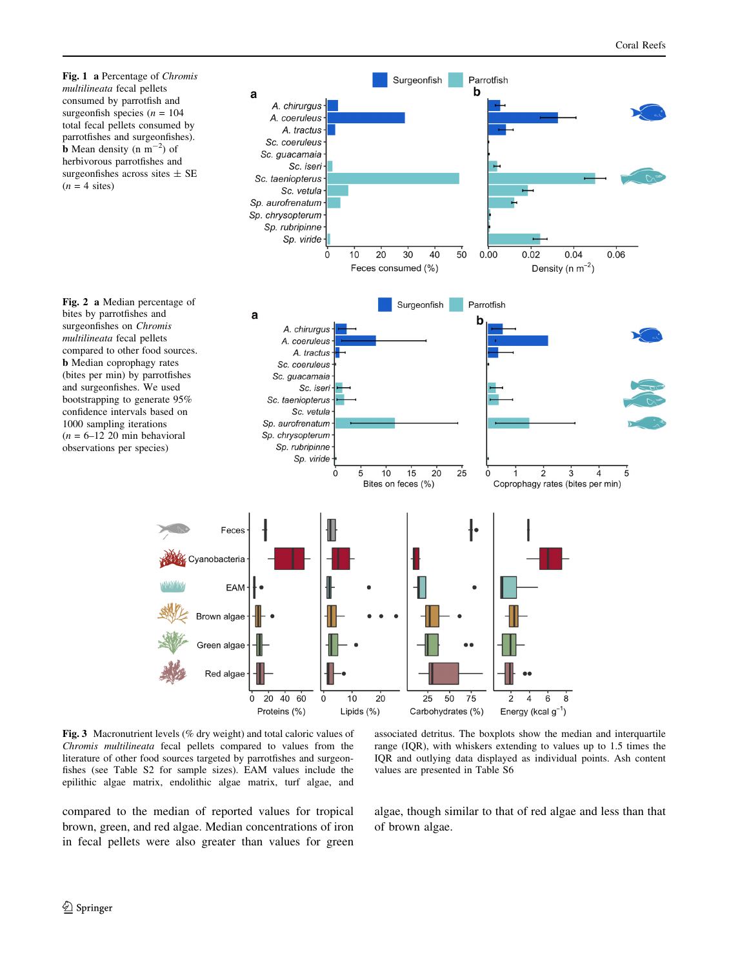<span id="page-7-0"></span>

Fig. 3 Macronutrient levels (% dry weight) and total caloric values of Chromis multilineata fecal pellets compared to values from the literature of other food sources targeted by parrotfishes and surgeonfishes (see Table S2 for sample sizes). EAM values include the epilithic algae matrix, endolithic algae matrix, turf algae, and

compared to the median of reported values for tropical brown, green, and red algae. Median concentrations of iron in fecal pellets were also greater than values for green associated detritus. The boxplots show the median and interquartile range (IQR), with whiskers extending to values up to 1.5 times the IQR and outlying data displayed as individual points. Ash content values are presented in Table S6

algae, though similar to that of red algae and less than that of brown algae.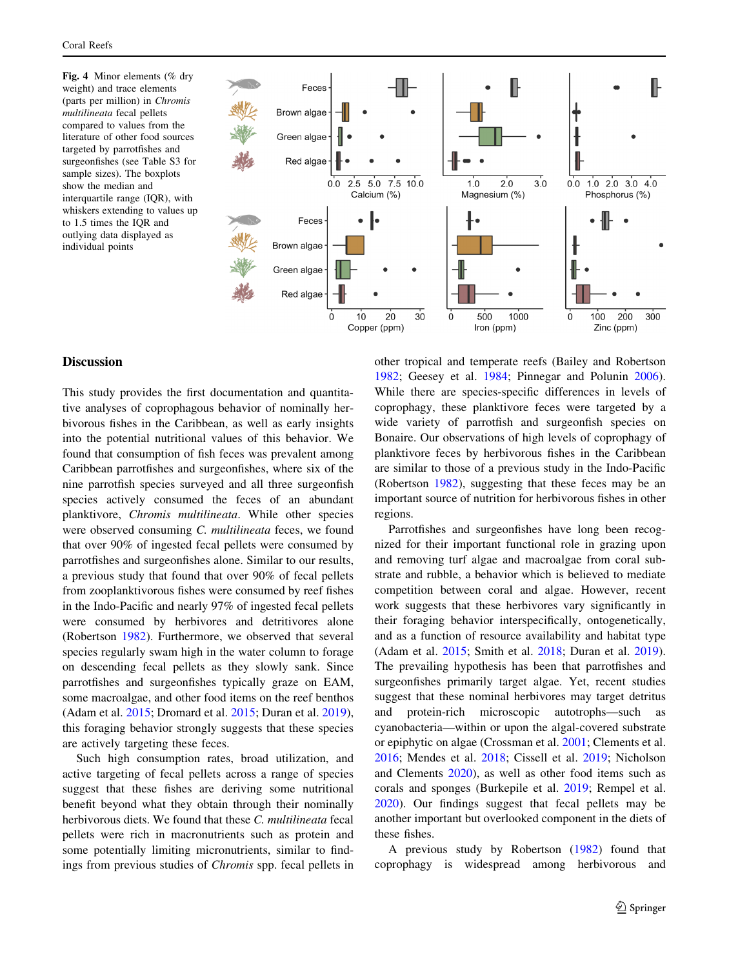<span id="page-8-0"></span>Fig. 4 Minor elements (% dry weight) and trace elements (parts per million) in Chromis multilineata fecal pellets compared to values from the literature of other food sources targeted by parrotfishes and surgeonfishes (see Table S3 for sample sizes). The boxplots show the median and interquartile range (IQR), with whiskers extending to values up to 1.5 times the IQR and outlying data displayed as individual points



# **Discussion**

This study provides the first documentation and quantitative analyses of coprophagous behavior of nominally herbivorous fishes in the Caribbean, as well as early insights into the potential nutritional values of this behavior. We found that consumption of fish feces was prevalent among Caribbean parrotfishes and surgeonfishes, where six of the nine parrotfish species surveyed and all three surgeonfish species actively consumed the feces of an abundant planktivore, Chromis multilineata. While other species were observed consuming C. multilineata feces, we found that over 90% of ingested fecal pellets were consumed by parrotfishes and surgeonfishes alone. Similar to our results, a previous study that found that over 90% of fecal pellets from zooplanktivorous fishes were consumed by reef fishes in the Indo-Pacific and nearly 97% of ingested fecal pellets were consumed by herbivores and detritivores alone (Robertson [1982](#page-12-0)). Furthermore, we observed that several species regularly swam high in the water column to forage on descending fecal pellets as they slowly sank. Since parrotfishes and surgeonfishes typically graze on EAM, some macroalgae, and other food items on the reef benthos (Adam et al. [2015](#page-10-0); Dromard et al. [2015;](#page-11-0) Duran et al. [2019](#page-11-0)), this foraging behavior strongly suggests that these species are actively targeting these feces.

Such high consumption rates, broad utilization, and active targeting of fecal pellets across a range of species suggest that these fishes are deriving some nutritional benefit beyond what they obtain through their nominally herbivorous diets. We found that these C. multilineata fecal pellets were rich in macronutrients such as protein and some potentially limiting micronutrients, similar to findings from previous studies of Chromis spp. fecal pellets in other tropical and temperate reefs (Bailey and Robertson [1982](#page-11-0); Geesey et al. [1984;](#page-11-0) Pinnegar and Polunin [2006](#page-12-0)). While there are species-specific differences in levels of coprophagy, these planktivore feces were targeted by a wide variety of parrotfish and surgeonfish species on Bonaire. Our observations of high levels of coprophagy of planktivore feces by herbivorous fishes in the Caribbean are similar to those of a previous study in the Indo-Pacific (Robertson [1982\)](#page-12-0), suggesting that these feces may be an important source of nutrition for herbivorous fishes in other regions.

Parrotfishes and surgeonfishes have long been recognized for their important functional role in grazing upon and removing turf algae and macroalgae from coral substrate and rubble, a behavior which is believed to mediate competition between coral and algae. However, recent work suggests that these herbivores vary significantly in their foraging behavior interspecifically, ontogenetically, and as a function of resource availability and habitat type (Adam et al. [2015;](#page-10-0) Smith et al. [2018](#page-12-0); Duran et al. [2019](#page-11-0)). The prevailing hypothesis has been that parrotfishes and surgeonfishes primarily target algae. Yet, recent studies suggest that these nominal herbivores may target detritus and protein-rich microscopic autotrophs—such as cyanobacteria—within or upon the algal-covered substrate or epiphytic on algae (Crossman et al. [2001;](#page-11-0) Clements et al. [2016](#page-11-0); Mendes et al. [2018](#page-11-0); Cissell et al. [2019](#page-11-0); Nicholson and Clements [2020](#page-12-0)), as well as other food items such as corals and sponges (Burkepile et al. [2019;](#page-11-0) Rempel et al. [2020](#page-12-0)). Our findings suggest that fecal pellets may be another important but overlooked component in the diets of these fishes.

A previous study by Robertson ([1982\)](#page-12-0) found that coprophagy is widespread among herbivorous and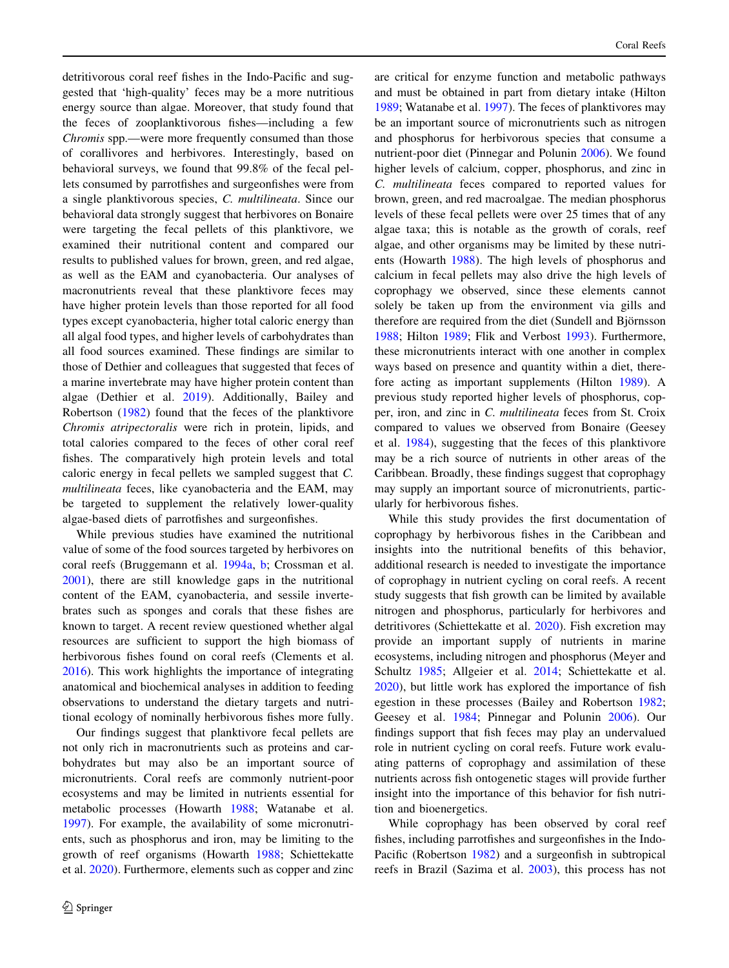detritivorous coral reef fishes in the Indo-Pacific and suggested that 'high-quality' feces may be a more nutritious energy source than algae. Moreover, that study found that the feces of zooplanktivorous fishes—including a few Chromis spp.—were more frequently consumed than those of corallivores and herbivores. Interestingly, based on behavioral surveys, we found that 99.8% of the fecal pellets consumed by parrotfishes and surgeonfishes were from a single planktivorous species, C. multilineata. Since our behavioral data strongly suggest that herbivores on Bonaire were targeting the fecal pellets of this planktivore, we examined their nutritional content and compared our results to published values for brown, green, and red algae, as well as the EAM and cyanobacteria. Our analyses of macronutrients reveal that these planktivore feces may have higher protein levels than those reported for all food types except cyanobacteria, higher total caloric energy than all algal food types, and higher levels of carbohydrates than all food sources examined. These findings are similar to those of Dethier and colleagues that suggested that feces of a marine invertebrate may have higher protein content than algae (Dethier et al. [2019](#page-11-0)). Additionally, Bailey and Robertson ([1982\)](#page-11-0) found that the feces of the planktivore Chromis atripectoralis were rich in protein, lipids, and total calories compared to the feces of other coral reef fishes. The comparatively high protein levels and total caloric energy in fecal pellets we sampled suggest that C. multilineata feces, like cyanobacteria and the EAM, may be targeted to supplement the relatively lower-quality algae-based diets of parrotfishes and surgeonfishes.

While previous studies have examined the nutritional value of some of the food sources targeted by herbivores on coral reefs (Bruggemann et al. [1994a](#page-11-0), [b;](#page-11-0) Crossman et al. [2001\)](#page-11-0), there are still knowledge gaps in the nutritional content of the EAM, cyanobacteria, and sessile invertebrates such as sponges and corals that these fishes are known to target. A recent review questioned whether algal resources are sufficient to support the high biomass of herbivorous fishes found on coral reefs (Clements et al. [2016\)](#page-11-0). This work highlights the importance of integrating anatomical and biochemical analyses in addition to feeding observations to understand the dietary targets and nutritional ecology of nominally herbivorous fishes more fully.

Our findings suggest that planktivore fecal pellets are not only rich in macronutrients such as proteins and carbohydrates but may also be an important source of micronutrients. Coral reefs are commonly nutrient-poor ecosystems and may be limited in nutrients essential for metabolic processes (Howarth [1988](#page-11-0); Watanabe et al. [1997\)](#page-12-0). For example, the availability of some micronutrients, such as phosphorus and iron, may be limiting to the growth of reef organisms (Howarth [1988](#page-11-0); Schiettekatte et al. [2020\)](#page-12-0). Furthermore, elements such as copper and zinc are critical for enzyme function and metabolic pathways and must be obtained in part from dietary intake (Hilton [1989](#page-11-0); Watanabe et al. [1997](#page-12-0)). The feces of planktivores may be an important source of micronutrients such as nitrogen and phosphorus for herbivorous species that consume a nutrient-poor diet (Pinnegar and Polunin [2006\)](#page-12-0). We found higher levels of calcium, copper, phosphorus, and zinc in C. multilineata feces compared to reported values for brown, green, and red macroalgae. The median phosphorus levels of these fecal pellets were over 25 times that of any algae taxa; this is notable as the growth of corals, reef algae, and other organisms may be limited by these nutrients (Howarth [1988\)](#page-11-0). The high levels of phosphorus and calcium in fecal pellets may also drive the high levels of coprophagy we observed, since these elements cannot solely be taken up from the environment via gills and therefore are required from the diet (Sundell and Björnsson [1988](#page-12-0); Hilton [1989](#page-11-0); Flik and Verbost [1993](#page-11-0)). Furthermore, these micronutrients interact with one another in complex ways based on presence and quantity within a diet, therefore acting as important supplements (Hilton [1989\)](#page-11-0). A previous study reported higher levels of phosphorus, copper, iron, and zinc in C. multilineata feces from St. Croix compared to values we observed from Bonaire (Geesey et al. [1984](#page-11-0)), suggesting that the feces of this planktivore may be a rich source of nutrients in other areas of the Caribbean. Broadly, these findings suggest that coprophagy may supply an important source of micronutrients, particularly for herbivorous fishes.

While this study provides the first documentation of coprophagy by herbivorous fishes in the Caribbean and insights into the nutritional benefits of this behavior, additional research is needed to investigate the importance of coprophagy in nutrient cycling on coral reefs. A recent study suggests that fish growth can be limited by available nitrogen and phosphorus, particularly for herbivores and detritivores (Schiettekatte et al. [2020\)](#page-12-0). Fish excretion may provide an important supply of nutrients in marine ecosystems, including nitrogen and phosphorus (Meyer and Schultz [1985;](#page-12-0) Allgeier et al. [2014](#page-10-0); Schiettekatte et al. [2020](#page-12-0)), but little work has explored the importance of fish egestion in these processes (Bailey and Robertson [1982](#page-11-0); Geesey et al. [1984;](#page-11-0) Pinnegar and Polunin [2006](#page-12-0)). Our findings support that fish feces may play an undervalued role in nutrient cycling on coral reefs. Future work evaluating patterns of coprophagy and assimilation of these nutrients across fish ontogenetic stages will provide further insight into the importance of this behavior for fish nutrition and bioenergetics.

While coprophagy has been observed by coral reef fishes, including parrotfishes and surgeonfishes in the Indo-Pacific (Robertson [1982](#page-12-0)) and a surgeonfish in subtropical reefs in Brazil (Sazima et al. [2003\)](#page-12-0), this process has not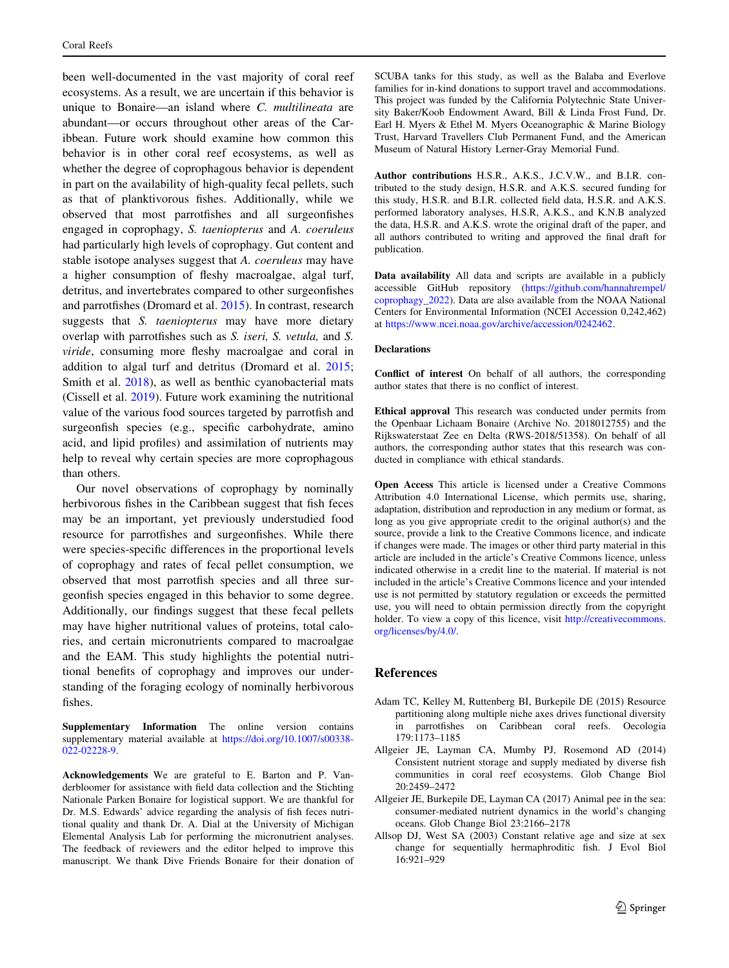<span id="page-10-0"></span>been well-documented in the vast majority of coral reef ecosystems. As a result, we are uncertain if this behavior is unique to Bonaire—an island where C. multilineata are abundant—or occurs throughout other areas of the Caribbean. Future work should examine how common this behavior is in other coral reef ecosystems, as well as whether the degree of coprophagous behavior is dependent in part on the availability of high-quality fecal pellets, such as that of planktivorous fishes. Additionally, while we observed that most parrotfishes and all surgeonfishes engaged in coprophagy, S. taeniopterus and A. coeruleus had particularly high levels of coprophagy. Gut content and stable isotope analyses suggest that A. coeruleus may have a higher consumption of fleshy macroalgae, algal turf, detritus, and invertebrates compared to other surgeonfishes and parrotfishes (Dromard et al. [2015](#page-11-0)). In contrast, research suggests that *S. taeniopterus* may have more dietary overlap with parrotfishes such as S. iseri, S. vetula, and S. viride, consuming more fleshy macroalgae and coral in addition to algal turf and detritus (Dromard et al. [2015](#page-11-0); Smith et al. [2018](#page-12-0)), as well as benthic cyanobacterial mats (Cissell et al. [2019\)](#page-11-0). Future work examining the nutritional value of the various food sources targeted by parrotfish and surgeonfish species (e.g., specific carbohydrate, amino acid, and lipid profiles) and assimilation of nutrients may help to reveal why certain species are more coprophagous than others.

Our novel observations of coprophagy by nominally herbivorous fishes in the Caribbean suggest that fish feces may be an important, yet previously understudied food resource for parrotfishes and surgeonfishes. While there were species-specific differences in the proportional levels of coprophagy and rates of fecal pellet consumption, we observed that most parrotfish species and all three surgeonfish species engaged in this behavior to some degree. Additionally, our findings suggest that these fecal pellets may have higher nutritional values of proteins, total calories, and certain micronutrients compared to macroalgae and the EAM. This study highlights the potential nutritional benefits of coprophagy and improves our understanding of the foraging ecology of nominally herbivorous fishes.

Supplementary Information The online version contains supplementary material available at [https://doi.org/10.1007/s00338-](https://doi.org/10.1007/s00338-022-02228-9) [022-02228-9.](https://doi.org/10.1007/s00338-022-02228-9)

Acknowledgements We are grateful to E. Barton and P. Vanderbloomer for assistance with field data collection and the Stichting Nationale Parken Bonaire for logistical support. We are thankful for Dr. M.S. Edwards' advice regarding the analysis of fish feces nutritional quality and thank Dr. A. Dial at the University of Michigan Elemental Analysis Lab for performing the micronutrient analyses. The feedback of reviewers and the editor helped to improve this manuscript. We thank Dive Friends Bonaire for their donation of

SCUBA tanks for this study, as well as the Balaba and Everlove families for in-kind donations to support travel and accommodations. This project was funded by the California Polytechnic State University Baker/Koob Endowment Award, Bill & Linda Frost Fund, Dr. Earl H. Myers & Ethel M. Myers Oceanographic & Marine Biology Trust, Harvard Travellers Club Permanent Fund, and the American Museum of Natural History Lerner-Gray Memorial Fund.

Author contributions H.S.R., A.K.S., J.C.V.W., and B.I.R. contributed to the study design, H.S.R. and A.K.S. secured funding for this study, H.S.R. and B.I.R. collected field data, H.S.R. and A.K.S. performed laboratory analyses, H.S.R, A.K.S., and K.N.B analyzed the data, H.S.R. and A.K.S. wrote the original draft of the paper, and all authors contributed to writing and approved the final draft for publication.

Data availability All data and scripts are available in a publicly accessible GitHub repository [\(https://github.com/hannahrempel/](https://github.com/hannahrempel/coprophagy_2022) [coprophagy\\_2022](https://github.com/hannahrempel/coprophagy_2022)). Data are also available from the NOAA National Centers for Environmental Information (NCEI Accession 0,242,462) at [https://www.ncei.noaa.gov/archive/accession/0242462.](https://www.ncei.noaa.gov/archive/accession/0242462)

#### Declarations

Conflict of interest On behalf of all authors, the corresponding author states that there is no conflict of interest.

Ethical approval This research was conducted under permits from the Openbaar Lichaam Bonaire (Archive No. 2018012755) and the Rijkswaterstaat Zee en Delta (RWS-2018/51358). On behalf of all authors, the corresponding author states that this research was conducted in compliance with ethical standards.

Open Access This article is licensed under a Creative Commons Attribution 4.0 International License, which permits use, sharing, adaptation, distribution and reproduction in any medium or format, as long as you give appropriate credit to the original author(s) and the source, provide a link to the Creative Commons licence, and indicate if changes were made. The images or other third party material in this article are included in the article's Creative Commons licence, unless indicated otherwise in a credit line to the material. If material is not included in the article's Creative Commons licence and your intended use is not permitted by statutory regulation or exceeds the permitted use, you will need to obtain permission directly from the copyright holder. To view a copy of this licence, visit [http://creativecommons.](http://creativecommons.org/licenses/by/4.0/) [org/licenses/by/4.0/.](http://creativecommons.org/licenses/by/4.0/)

#### References

- Adam TC, Kelley M, Ruttenberg BI, Burkepile DE (2015) Resource partitioning along multiple niche axes drives functional diversity in parrotfishes on Caribbean coral reefs. Oecologia 179:1173–1185
- Allgeier JE, Layman CA, Mumby PJ, Rosemond AD (2014) Consistent nutrient storage and supply mediated by diverse fish communities in coral reef ecosystems. Glob Change Biol 20:2459–2472
- Allgeier JE, Burkepile DE, Layman CA (2017) Animal pee in the sea: consumer-mediated nutrient dynamics in the world's changing oceans. Glob Change Biol 23:2166–2178
- Allsop DJ, West SA (2003) Constant relative age and size at sex change for sequentially hermaphroditic fish. J Evol Biol 16:921–929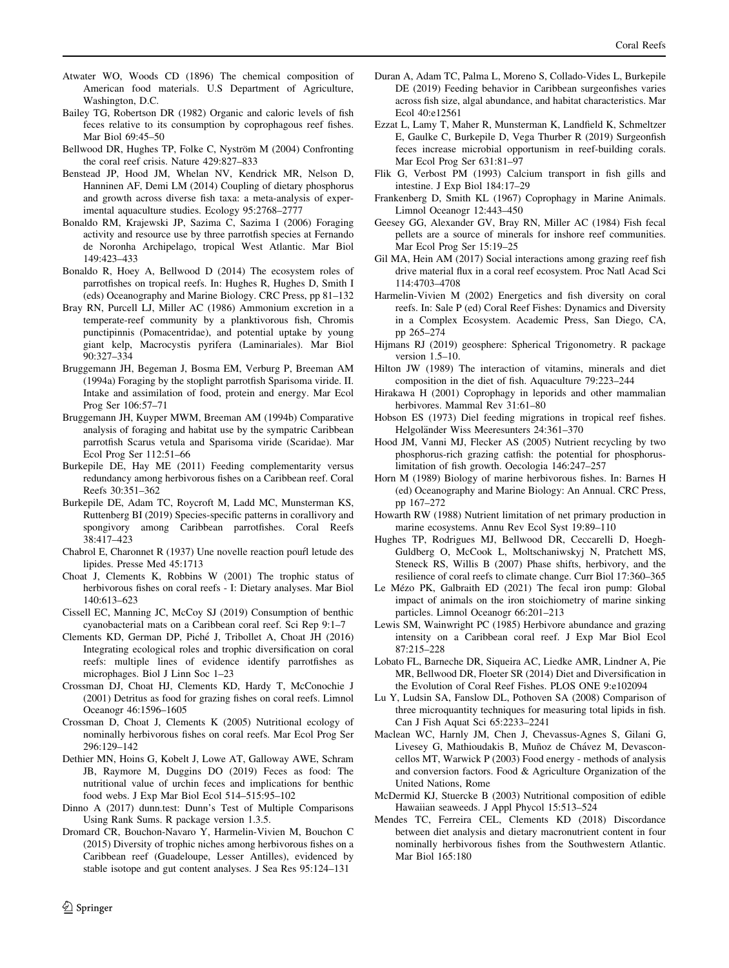- <span id="page-11-0"></span>Atwater WO, Woods CD (1896) The chemical composition of American food materials. U.S Department of Agriculture, Washington, D.C.
- Bailey TG, Robertson DR (1982) Organic and caloric levels of fish feces relative to its consumption by coprophagous reef fishes. Mar Biol 69:45–50
- Bellwood DR, Hughes TP, Folke C, Nyström M (2004) Confronting the coral reef crisis. Nature 429:827–833
- Benstead JP, Hood JM, Whelan NV, Kendrick MR, Nelson D, Hanninen AF, Demi LM (2014) Coupling of dietary phosphorus and growth across diverse fish taxa: a meta-analysis of experimental aquaculture studies. Ecology 95:2768–2777
- Bonaldo RM, Krajewski JP, Sazima C, Sazima I (2006) Foraging activity and resource use by three parrotfish species at Fernando de Noronha Archipelago, tropical West Atlantic. Mar Biol 149:423–433
- Bonaldo R, Hoey A, Bellwood D (2014) The ecosystem roles of parrotfishes on tropical reefs. In: Hughes R, Hughes D, Smith I (eds) Oceanography and Marine Biology. CRC Press, pp 81–132
- Bray RN, Purcell LJ, Miller AC (1986) Ammonium excretion in a temperate-reef community by a planktivorous fish, Chromis punctipinnis (Pomacentridae), and potential uptake by young giant kelp, Macrocystis pyrifera (Laminariales). Mar Biol 90:327–334
- Bruggemann JH, Begeman J, Bosma EM, Verburg P, Breeman AM (1994a) Foraging by the stoplight parrotfish Sparisoma viride. II. Intake and assimilation of food, protein and energy. Mar Ecol Prog Ser 106:57–71
- Bruggemann JH, Kuyper MWM, Breeman AM (1994b) Comparative analysis of foraging and habitat use by the sympatric Caribbean parrotfish Scarus vetula and Sparisoma viride (Scaridae). Mar Ecol Prog Ser 112:51–66
- Burkepile DE, Hay ME (2011) Feeding complementarity versus redundancy among herbivorous fishes on a Caribbean reef. Coral Reefs 30:351–362
- Burkepile DE, Adam TC, Roycroft M, Ladd MC, Munsterman KS, Ruttenberg BI (2019) Species-specific patterns in corallivory and spongivory among Caribbean parrotfishes. Coral Reefs 38:417–423
- Chabrol E, Charonnet R  $(1937)$  Une novelle reaction pourt letude des lipides. Presse Med 45:1713
- Choat J, Clements K, Robbins W (2001) The trophic status of herbivorous fishes on coral reefs - I: Dietary analyses. Mar Biol 140:613–623
- Cissell EC, Manning JC, McCoy SJ (2019) Consumption of benthic cyanobacterial mats on a Caribbean coral reef. Sci Rep 9:1–7
- Clements KD, German DP, Piche´ J, Tribollet A, Choat JH (2016) Integrating ecological roles and trophic diversification on coral reefs: multiple lines of evidence identify parrotfishes as microphages. Biol J Linn Soc 1–23
- Crossman DJ, Choat HJ, Clements KD, Hardy T, McConochie J (2001) Detritus as food for grazing fishes on coral reefs. Limnol Oceanogr 46:1596–1605
- Crossman D, Choat J, Clements K (2005) Nutritional ecology of nominally herbivorous fishes on coral reefs. Mar Ecol Prog Ser 296:129–142
- Dethier MN, Hoins G, Kobelt J, Lowe AT, Galloway AWE, Schram JB, Raymore M, Duggins DO (2019) Feces as food: The nutritional value of urchin feces and implications for benthic food webs. J Exp Mar Biol Ecol 514–515:95–102
- Dinno A (2017) dunn.test: Dunn's Test of Multiple Comparisons Using Rank Sums. R package version 1.3.5.
- Dromard CR, Bouchon-Navaro Y, Harmelin-Vivien M, Bouchon C (2015) Diversity of trophic niches among herbivorous fishes on a Caribbean reef (Guadeloupe, Lesser Antilles), evidenced by stable isotope and gut content analyses. J Sea Res 95:124–131
- Duran A, Adam TC, Palma L, Moreno S, Collado-Vides L, Burkepile DE (2019) Feeding behavior in Caribbean surgeonfishes varies across fish size, algal abundance, and habitat characteristics. Mar Ecol 40:e12561
- Ezzat L, Lamy T, Maher R, Munsterman K, Landfield K, Schmeltzer E, Gaulke C, Burkepile D, Vega Thurber R (2019) Surgeonfish feces increase microbial opportunism in reef-building corals. Mar Ecol Prog Ser 631:81–97
- Flik G, Verbost PM (1993) Calcium transport in fish gills and intestine. J Exp Biol 184:17–29
- Frankenberg D, Smith KL (1967) Coprophagy in Marine Animals. Limnol Oceanogr 12:443–450
- Geesey GG, Alexander GV, Bray RN, Miller AC (1984) Fish fecal pellets are a source of minerals for inshore reef communities. Mar Ecol Prog Ser 15:19–25
- Gil MA, Hein AM (2017) Social interactions among grazing reef fish drive material flux in a coral reef ecosystem. Proc Natl Acad Sci 114:4703–4708
- Harmelin-Vivien M (2002) Energetics and fish diversity on coral reefs. In: Sale P (ed) Coral Reef Fishes: Dynamics and Diversity in a Complex Ecosystem. Academic Press, San Diego, CA, pp 265–274
- Hijmans RJ (2019) geosphere: Spherical Trigonometry. R package version 1.5–10.
- Hilton JW (1989) The interaction of vitamins, minerals and diet composition in the diet of fish. Aquaculture 79:223–244
- Hirakawa H (2001) Coprophagy in leporids and other mammalian herbivores. Mammal Rev 31:61–80
- Hobson ES (1973) Diel feeding migrations in tropical reef fishes. Helgoländer Wiss Meeresunters 24:361–370
- Hood JM, Vanni MJ, Flecker AS (2005) Nutrient recycling by two phosphorus-rich grazing catfish: the potential for phosphoruslimitation of fish growth. Oecologia 146:247–257
- Horn M (1989) Biology of marine herbivorous fishes. In: Barnes H (ed) Oceanography and Marine Biology: An Annual. CRC Press, pp 167–272
- Howarth RW (1988) Nutrient limitation of net primary production in marine ecosystems. Annu Rev Ecol Syst 19:89–110
- Hughes TP, Rodrigues MJ, Bellwood DR, Ceccarelli D, Hoegh-Guldberg O, McCook L, Moltschaniwskyj N, Pratchett MS, Steneck RS, Willis B (2007) Phase shifts, herbivory, and the resilience of coral reefs to climate change. Curr Biol 17:360–365
- Le Mézo PK, Galbraith ED (2021) The fecal iron pump: Global impact of animals on the iron stoichiometry of marine sinking particles. Limnol Oceanogr 66:201–213
- Lewis SM, Wainwright PC (1985) Herbivore abundance and grazing intensity on a Caribbean coral reef. J Exp Mar Biol Ecol 87:215–228
- Lobato FL, Barneche DR, Siqueira AC, Liedke AMR, Lindner A, Pie MR, Bellwood DR, Floeter SR (2014) Diet and Diversification in the Evolution of Coral Reef Fishes. PLOS ONE 9:e102094
- Lu Y, Ludsin SA, Fanslow DL, Pothoven SA (2008) Comparison of three microquantity techniques for measuring total lipids in fish. Can J Fish Aquat Sci 65:2233–2241
- Maclean WC, Harnly JM, Chen J, Chevassus-Agnes S, Gilani G, Livesey G, Mathioudakis B, Muñoz de Chávez M, Devasconcellos MT, Warwick P (2003) Food energy - methods of analysis and conversion factors. Food & Agriculture Organization of the United Nations, Rome
- McDermid KJ, Stuercke B (2003) Nutritional composition of edible Hawaiian seaweeds. J Appl Phycol 15:513–524
- Mendes TC, Ferreira CEL, Clements KD (2018) Discordance between diet analysis and dietary macronutrient content in four nominally herbivorous fishes from the Southwestern Atlantic. Mar Biol 165:180